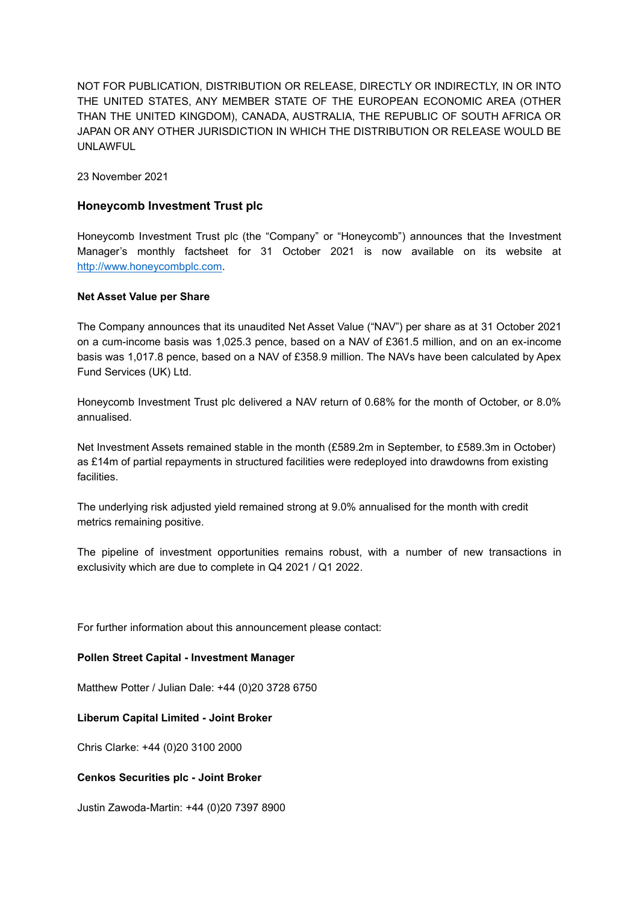NOT FOR PUBLICATION, DISTRIBUTION OR RELEASE, DIRECTLY OR INDIRECTLY, IN OR INTO THE UNITED STATES, ANY MEMBER STATE OF THE EUROPEAN ECONOMIC AREA (OTHER THAN THE UNITED KINGDOM), CANADA, AUSTRALIA, THE REPUBLIC OF SOUTH AFRICA OR JAPAN OR ANY OTHER JURISDICTION IN WHICH THE DISTRIBUTION OR RELEASE WOULD BE UNLAWFUL

23 November 2021

## **Honeycomb Investment Trust plc**

Honeycomb Investment Trust plc (the "Company" or "Honeycomb") announces that the Investment Manager's monthly factsheet for 31 October 2021 is now available on its website at [http://www.honeycombplc.com.](http://www.honeycombplc.com/documents/)

#### **Net Asset Value per Share**

The Company announces that its unaudited Net Asset Value ("NAV") per share as at 31 October 2021 on a cum-income basis was 1,025.3 pence, based on a NAV of £361.5 million, and on an ex-income basis was 1,017.8 pence, based on a NAV of £358.9 million. The NAVs have been calculated by Apex Fund Services (UK) Ltd.

Honeycomb Investment Trust plc delivered a NAV return of 0.68% for the month of October, or 8.0% annualised.

Net Investment Assets remained stable in the month (£589.2m in September, to £589.3m in October) as £14m of partial repayments in structured facilities were redeployed into drawdowns from existing facilities.

The underlying risk adjusted yield remained strong at 9.0% annualised for the month with credit metrics remaining positive.

The pipeline of investment opportunities remains robust, with a number of new transactions in exclusivity which are due to complete in Q4 2021 / Q1 2022.

For further information about this announcement please contact:

### **Pollen Street Capital - Investment Manager**

Matthew Potter / Julian Dale: +44 (0)20 3728 6750

#### **Liberum Capital Limited - Joint Broker**

Chris Clarke: +44 (0)20 3100 2000

### **Cenkos Securities plc - Joint Broker**

Justin Zawoda-Martin: +44 (0)20 7397 8900